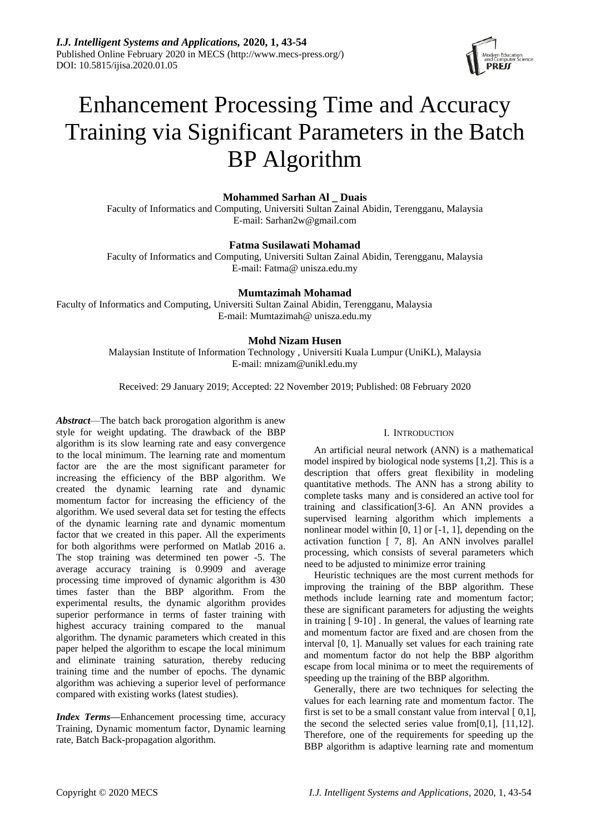

# Enhancement Processing Time and Accuracy Training via Significant Parameters in the Batch BP Algorithm

# **Mohammed Sarhan Al \_ Duais**

Faculty of Informatics and Computing, Universiti Sultan Zainal Abidin, Terengganu, Malaysia E-mail: Sarhan2w@gmail.com

# **Fatma Susilawati Mohamad**

Faculty of Informatics and Computing, Universiti Sultan Zainal Abidin, Terengganu, Malaysia E-mail: Fatma@ unisza.edu.my

# **Mumtazimah Mohamad**

Faculty of Informatics and Computing, Universiti Sultan Zainal Abidin, Terengganu, Malaysia E-mail: Mumtazimah@ unisza.edu.my

# **Mohd Nizam Husen**

Malaysian Institute of Information Technology , Universiti Kuala Lumpur (UniKL), Malaysia E-mail: mnizam@unikl.edu.my

Received: 29 January 2019; Accepted: 22 November 2019; Published: 08 February 2020

*Abstract*—The batch back prorogation algorithm is anew style for weight updating. The drawback of the BBP algorithm is its slow learning rate and easy convergence to the local minimum. The learning rate and momentum factor are the are the most significant parameter for increasing the efficiency of the BBP algorithm. We created the dynamic learning rate and dynamic momentum factor for increasing the efficiency of the algorithm. We used several data set for testing the effects of the dynamic learning rate and dynamic momentum factor that we created in this paper. All the experiments for both algorithms were performed on Matlab 2016 a. The stop training was determined ten power -5. The average accuracy training is 0.9909 and average processing time improved of dynamic algorithm is 430 times faster than the BBP algorithm. From the experimental results, the dynamic algorithm provides superior performance in terms of faster training with highest accuracy training compared to the manual algorithm. The dynamic parameters which created in this paper helped the algorithm to escape the local minimum and eliminate training saturation, thereby reducing training time and the number of epochs. The dynamic algorithm was achieving a superior level of performance compared with existing works (latest studies).

*Index Terms***—**Enhancement processing time, accuracy Training, Dynamic momentum factor, Dynamic learning rate, Batch Back-propagation algorithm.

#### I. INTRODUCTION

An artificial neural network (ANN) is a mathematical model inspired by biological node systems [1,2]. This is a description that offers great flexibility in modeling quantitative methods. The ANN has a strong ability to complete tasks many and is considered an active tool for training and classification[3-6]. An ANN provides a supervised learning algorithm which implements a nonlinear model within [0, 1] or [-1, 1], depending on the activation function [ 7, 8]. An ANN involves parallel processing, which consists of several parameters which need to be adjusted to minimize error training

Heuristic techniques are the most current methods for improving the training of the BBP algorithm. These methods include learning rate and momentum factor; these are significant parameters for adjusting the weights in training [ 9-10] . In general, the values of learning rate and momentum factor are fixed and are chosen from the interval [0, 1]. Manually set values for each training rate and momentum factor do not help the BBP algorithm escape from local minima or to meet the requirements of speeding up the training of the BBP algorithm.

Generally, there are two techniques for selecting the values for each learning rate and momentum factor. The first is set to be a small constant value from interval  $[0,1]$ . the second the selected series value from[0,1], [11,12]. Therefore, one of the requirements for speeding up the BBP algorithm is adaptive learning rate and momentum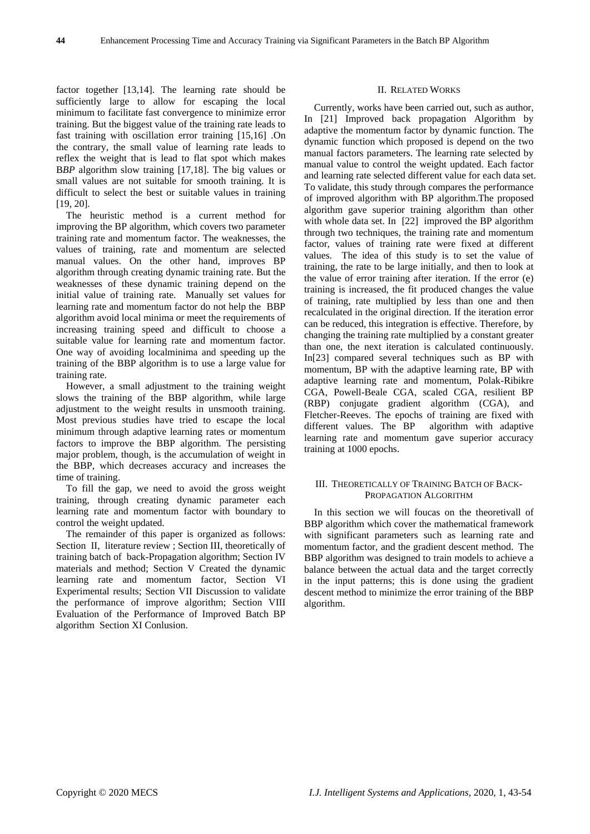factor together [13,14]. The learning rate should be sufficiently large to allow for escaping the local minimum to facilitate fast convergence to minimize error training. But the biggest value of the training rate leads to fast training with oscillation error training [15,16] .On the contrary, the small value of learning rate leads to reflex the weight that is lead to flat spot which makes BBP algorithm slow training [17,18]. The big values or small values are not suitable for smooth training. It is difficult to select the best or suitable values in training [19, 20].

The heuristic method is a current method for improving the BP algorithm, which covers two parameter training rate and momentum factor. The weaknesses, the values of training, rate and momentum are selected manual values. On the other hand, improves BP algorithm through creating dynamic training rate. But the weaknesses of these dynamic training depend on the initial value of training rate. Manually set values for learning rate and momentum factor do not help the BBP algorithm avoid local minima or meet the requirements of increasing training speed and difficult to choose a suitable value for learning rate and momentum factor. One way of avoiding localminima and speeding up the training of the BBP algorithm is to use a large value for training rate.

However, a small adjustment to the training weight slows the training of the BBP algorithm, while large adjustment to the weight results in unsmooth training. Most previous studies have tried to escape the local minimum through adaptive learning rates or momentum factors to improve the BBP algorithm. The persisting major problem, though, is the accumulation of weight in the BBP, which decreases accuracy and increases the time of training.

To fill the gap, we need to avoid the gross weight training, through creating dynamic parameter each learning rate and momentum factor with boundary to control the weight updated.

The remainder of this paper is organized as follows: Section II, literature review ; Section III, theoretically of training batch of back-Propagation algorithm; Section IV materials and method; Section V Created the dynamic learning rate and momentum factor, Section VI Experimental results; Section VII Discussion to validate the performance of improve algorithm; Section VIII Evaluation of the Performance of Improved Batch BP algorithm Section XI Conlusion.

#### II. RELATED WORKS

Currently, works have been carried out, such as author, In [21] Improved back propagation Algorithm by adaptive the momentum factor by dynamic function. The dynamic function which proposed is depend on the two manual factors parameters. The learning rate selected by manual value to control the weight updated. Each factor and learning rate selected different value for each data set. To validate, this study through compares the performance of improved algorithm with BP algorithm.The proposed algorithm gave superior training algorithm than other with whole data set. In [22] improved the BP algorithm through two techniques, the training rate and momentum factor, values of training rate were fixed at different values. The idea of this study is to set the value of training, the rate to be large initially, and then to look at the value of error training after iteration. If the error (e) training is increased, the fit produced changes the value of training, rate multiplied by less than one and then recalculated in the original direction. If the iteration error can be reduced, this integration is effective. Therefore, by changing the training rate multiplied by a constant greater than one, the next iteration is calculated continuously. In[23] compared several techniques such as BP with momentum, BP with the adaptive learning rate, BP with adaptive learning rate and momentum, Polak-Ribikre CGA, Powell-Beale CGA, scaled CGA, resilient BP (RBP) conjugate gradient algorithm (CGA), and Fletcher-Reeves. The epochs of training are fixed with different values. The BP algorithm with adaptive learning rate and momentum gave superior accuracy training at 1000 epochs.

# III. THEORETICALLY OF TRAINING BATCH OF BACK-PROPAGATION ALGORITHM

In this section we will foucas on the theoretivall of BBP algorithm which cover the mathematical framework with significant parameters such as learning rate and momentum factor, and the gradient descent method. The BBP algorithm was designed to train models to achieve a balance between the actual data and the target correctly in the input patterns; this is done using the gradient descent method to minimize the error training of the BBP algorithm.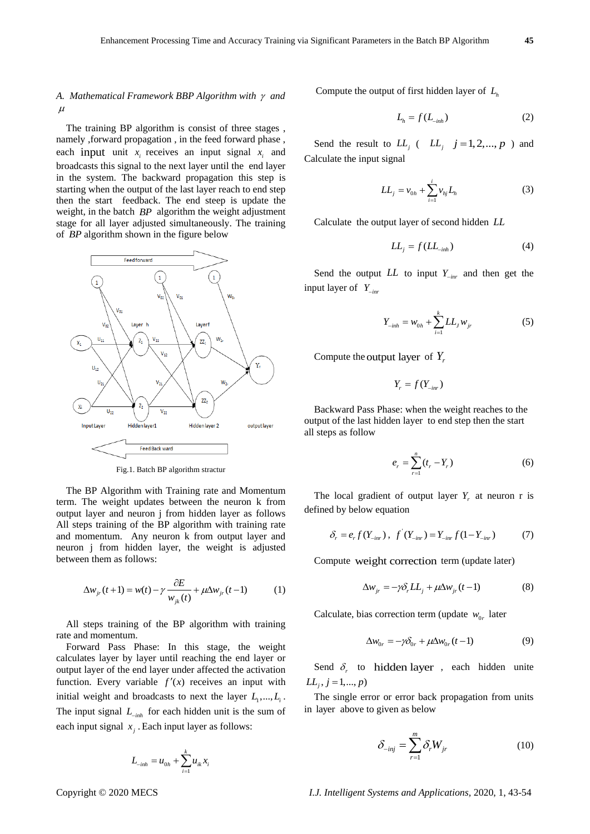# A. Mathematical Framework BBP Algorithm with  $\gamma$  and  $\mu$

The training BP algorithm is consist of three stages , namely ,forward propagation , in the feed forward phase , each input unit  $x_i$  receives an input signal  $x_i$  and broadcasts this signal to the next layer until the end layer in the system. The backward propagation this step is starting when the output of the last layer reach to end step then the start feedback. The end steep is update the weight, in the batch *BP* algorithm the weight adjustment stage for all layer adjusted simultaneously. The training of *BP* algorithm shown in the figure below



Fig.1. Batch BP algorithm stractur

The BP Algorithm with Training rate and Momentum term. The weight updates between the neuron k from output layer and neuron j from hidden layer as follows All steps training of the BP algorithm with training rate and momentum. Any neuron k from output layer and neuron j from hidden layer, the weight is adjusted between them as follows:

$$
\Delta w_{jr}(t+1) = w(t) - \gamma \frac{\partial E}{w_{jk}(t)} + \mu \Delta w_{jr}(t-1)
$$
 (1)

All steps training of the BP algorithm with training rate and momentum.

Forward Pass Phase: In this stage, the weight calculates layer by layer until reaching the end layer or output layer of the end layer under affected the activation function. Every variable  $f'(x)$  receives an input with initial weight and broadcasts to next the layer  $L_1, ..., L_i$ . The input signal *Linh* for each hidden unit is the sum of each input signal  $x_j$ . Each input layer as follows:

$$
L_{-inh} = u_{0h} + \sum_{i=1}^{k} u_{ik} x_i
$$

Compute the output of first hidden layer of *Lh*

$$
L_h = f(L_{\text{inh}}) \tag{2}
$$

Send the result to  $LL_j$  (  $LL_j$   $j = 1, 2, ..., p$  ) and Calculate the input signal

$$
LL_{j} = v_{0h} + \sum_{i=1}^{i} v_{hj} L_{h}
$$
 (3)

Calculate the output layer of second hidden *LL*

$$
LL_j = f(LL_{\text{inh}}) \tag{4}
$$

Send the output  $LL$  to input  $Y_{\text{inr}}$  and then get the input layer of *Yinr*

$$
Y_{\text{inh}} = W_{0h} + \sum_{i=1}^{k} LL_j W_{jr}
$$
 (5)

Compute the output layer of  $Y_i$ 

$$
Y_r = f(Y_{-inv})
$$

Backward Pass Phase: when the weight reaches to the output of the last hidden layer to end step then the start all steps as follow

$$
e_r = \sum_{r=1}^{n} (t_r - Y_r)
$$
 (6)

The local gradient of output layer  $Y_r$  at neuron r is defined by below equation

$$
\delta_r = e_r f(Y_{\text{inr}}), \ f'(Y_{\text{inr}}) = Y_{\text{inr}} f(1 - Y_{\text{inr}}) \tag{7}
$$

Compute weight correction term (update later)

$$
\Delta w_{jr} = -\gamma \delta_r L L_j + \mu \Delta w_{jr} (t-1)
$$
 (8)

Calculate, bias correction term (update  $w_{0r}$  later

$$
\Delta w_{0r} = -\gamma \delta_{0r} + \mu \Delta w_{0r} (t-1)
$$
 (9)

Send  $\delta_r$  to hidden layer, each hidden unite  $LL_j, j = 1, ..., p$ 

The single error or error back propagation from units in layer above to given as below

$$
\delta_{\text{inj}} = \sum_{r=1}^{m} \delta_r W_{jr} \tag{10}
$$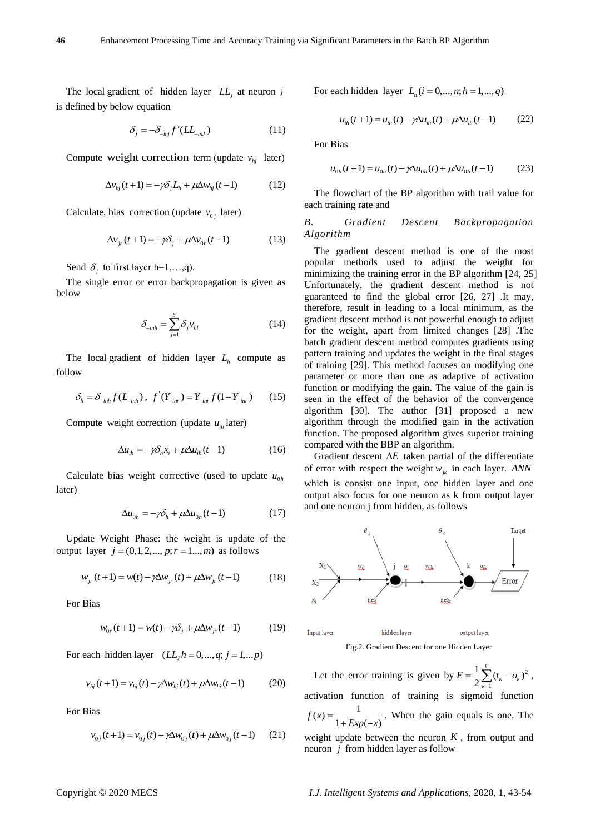The local gradient of hidden layer *LL<sup>j</sup>* at neuron *j* is defined by below equation

$$
\delta_j = -\delta_{\text{inj}} f'(LL_{\text{inJ}}) \tag{11}
$$

Compute weight correction term (update  $v_{hj}$  later)

$$
\Delta v_{hj}(t+1) = -\gamma \delta_j L_h + \mu \Delta w_{hj}(t-1)
$$
 (12)

Calculate, bias correction (update  $v_{0j}$  later)

$$
\Delta v_{jr}(t+1) = -\gamma \delta_j + \mu \Delta v_{0r}(t-1)
$$
 (13)

Send  $\delta_j$  to first layer h=1,...,q).

The single error or error backpropagation is given as below

$$
\delta_{\text{inh}} = \sum_{j=1}^{b} \delta_j v_{hl} \tag{14}
$$

The local gradient of hidden layer  $L_h$  compute as follow

$$
\delta_h = \delta_{\text{inh}} f(L_{\text{inh}}), \ f'(Y_{\text{inr}}) = Y_{\text{inr}} f(1 - Y_{\text{inr}}) \tag{15}
$$

Compute weight correction (update  $u_{i}$  later)

$$
\Delta u_{ih} = -\gamma \delta_h x_i + \mu \Delta u_{ih} (t-1)
$$
 (16)

Calculate bias weight corrective (used to update  $u_{0h}$ later)

$$
\Delta u_{0h} = -\gamma \delta_h + \mu \Delta u_{0h} (t-1) \tag{17}
$$

Update Weight Phase: the weight is update of the output layer  $j = (0,1,2,..., p; r = 1..., m)$  as follows

$$
w_{jr}(t+1) = w(t) - \gamma \Delta w_{jr}(t) + \mu \Delta w_{jr}(t-1)
$$
 (18)

For Bias

$$
w_{0r}(t+1) = w(t) - \gamma \delta_j + \mu \Delta w_{jr}(t-1)
$$
 (19)

For each hidden layer  $(LL_j h = 0, ..., q; j = 1, ... p)$ 

$$
v_{hj}(t+1) = v_{hj}(t) - \gamma \Delta w_{hj}(t) + \mu \Delta w_{hj}(t-1)
$$
 (20)

For Bias

$$
v_{0j}(t+1) = v_{0j}(t) - \gamma \Delta w_{0j}(t) + \mu \Delta w_{0j}(t-1)
$$
 (21)

For each hidden layer  $L_h$   $(i = 0, ..., n; h = 1, ..., q)$ 

$$
u_{ih}(t+1) = u_{ih}(t) - \gamma \Delta u_{ih}(t) + \mu \Delta u_{ih}(t-1)
$$
 (22)

For Bias

$$
u_{0h}(t+1) = u_{0h}(t) - \gamma \Delta u_{0h}(t) + \mu \Delta u_{0h}(t-1)
$$
 (23)

The flowchart of the BP algorithm with trail value for each training rate and

# *B. Gradient Descent Backpropagation Algorithm*

The gradient descent method is one of the most popular methods used to adjust the weight for minimizing the training error in the BP algorithm [24, 25] Unfortunately, the gradient descent method is not guaranteed to find the global error [26, 27] .It may, therefore, result in leading to a local minimum, as the gradient descent method is not powerful enough to adjust for the weight, apart from limited changes [28] .The batch gradient descent method computes gradients using pattern training and updates the weight in the final stages of training [29]. This method focuses on modifying one parameter or more than one as adaptive of activation function or modifying the gain. The value of the gain is seen in the effect of the behavior of the convergence algorithm [30]. The author [31] proposed a new algorithm through the modified gain in the activation function. The proposed algorithm gives superior training compared with the BBP an algorithm.

Gradient descent  $\Delta E$  taken partial of the differentiate of error with respect the weight  $w_{jk}$  in each layer. *ANN* which is consist one input, one hidden layer and one output also focus for one neuron as k from output layer and one neuron j from hidden, as follows



Fig.2. Gradient Descent for one Hidden Layer

Let the error training is given by  $E = \frac{1}{2} \sum_{k=1}^{k} (t_k - o_k)^2$ 1 *k*  $E = \frac{1}{2} \sum_{k} (t_k - o_k)^2$ , *k* Ē, activation function of training is sigmoid function  $f(x) = \frac{1}{1 + Exp(-x)}$ . When the gain equals is one. The weight update between the neuron  $K$ , from output and neuron *j* from hidden layer as follow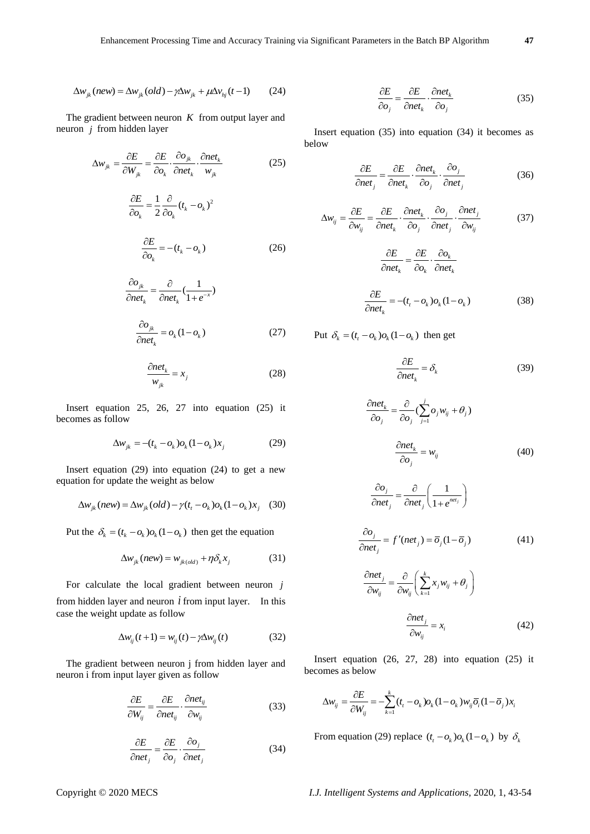$$
\Delta w_{ik}(new) = \Delta w_{ik}(old) - \gamma \Delta w_{ik} + \mu \Delta v_{hi}(t-1)
$$
 (24)

The gradient between neuron  $K$  from output layer and neuron *j* from hidden layer

$$
\Delta w_{jk} = \frac{\partial E}{\partial W_{jk}} = \frac{\partial E}{\partial o_k} \cdot \frac{\partial o_{jk}}{\partial net_k} \cdot \frac{\partial net_k}{w_{jk}}
$$
(25)

$$
\frac{\partial E}{\partial o_k} = \frac{1}{2} \frac{\partial}{\partial o_k} (t_k - o_k)^2
$$

$$
\frac{\partial E}{\partial o_k} = -(t_k - o_k) \tag{26}
$$

$$
\frac{\partial o_{jk}}{\partial net_k} = \frac{\partial}{\partial net_k} \left( \frac{1}{1 + e^{-x}} \right)
$$

$$
\frac{\partial o_{jk}}{\partial net_k} = o_k (1 - o_k)
$$
(27)

$$
\frac{\partial net_k}{w_{jk}} = x_j \tag{28}
$$

Insert equation 25, 26, 27 into equation (25) it becomes as follow

$$
\Delta w_{jk} = -(t_k - o_k) o_k (1 - o_k) x_j
$$
 (29)

Insert equation (29) into equation (24) to get a new equation for update the weight as below

$$
\Delta w_{jk} (new) = \Delta w_{jk} (old) - \gamma (t_t - o_k) o_k (1 - o_k) x_j
$$
 (30)

Put the  $\delta_k = (t_k - o_k) o_k (1 - o_k)$  then get the equation

$$
\Delta w_{jk}(new) = w_{jk(old)} + \eta \delta_k x_j \tag{31}
$$

For calculate the local gradient between neuron *j* from hidden layer and neuron  $\hat{i}$  from input layer. In this case the weight update as follow

$$
\Delta w_{ij}(t+1) = w_{ij}(t) - \gamma \Delta w_{ij}(t) \tag{32}
$$

The gradient between neuron j from hidden layer and neuron i from input layer given as follow

$$
\frac{\partial E}{\partial W_{ij}} = \frac{\partial E}{\partial net_{ij}} \cdot \frac{\partial net_{ij}}{\partial w_{ij}} \tag{33}
$$

$$
\frac{\partial E}{\partial net_j} = \frac{\partial E}{\partial o_j} \cdot \frac{\partial o_j}{\partial net_j}
$$
(34)

$$
\frac{\partial E}{\partial o_j} = \frac{\partial E}{\partial net_k} \cdot \frac{\partial net_k}{\partial o_j} \tag{35}
$$

Insert equation (35) into equation (34) it becomes as below

$$
\frac{\partial E}{\partial net_j} = \frac{\partial E}{\partial net_k} \cdot \frac{\partial net_k}{\partial o_j} \cdot \frac{\partial o_j}{\partial net_j}
$$
(36)

$$
\Delta w_{ij} = \frac{\partial E}{\partial w_{ij}} = \frac{\partial E}{\partial net_k} \cdot \frac{\partial net_k}{\partial o_j} \cdot \frac{\partial o_j}{\partial net_j} \cdot \frac{\partial net_j}{\partial w_{ij}}
$$
(37)

$$
\frac{\partial E}{\partial net_k} = \frac{\partial E}{\partial o_k} \cdot \frac{\partial o_k}{\partial net_k}
$$

$$
\frac{\partial E}{\partial net_k} = -(t_t - o_k) o_k (1 - o_k)
$$
(38)

Put 
$$
\delta_k = (t_t - o_k) o_k (1 - o_k)
$$
 then get

$$
\frac{\partial E}{\partial net_k} = \delta_k \tag{39}
$$

$$
\frac{\partial net_k}{\partial o_j} = \frac{\partial}{\partial o_j} (\sum_{j=1}^j o_j w_{ij} + \theta_j)
$$

$$
\frac{\partial net_k}{\partial o_j} = w_{ij}
$$
(40)

$$
\Delta w_{,x} (new) = \Delta w_{,x} (old) - p\Delta w_{,x} + \mu \Delta w_{,y} (t-1) \t(24)
$$
\n
$$
\Delta w_{,x} = \frac{\partial E}{\partial w_{,x}} = \frac{\partial E}{\partial w_{,y}} \frac{\partial w_{,y}}{\partial w_{,z}} + \mu \Delta w_{,y} (t-1) \t(25)
$$
\n
$$
\Delta w_{,x} = \frac{\partial E}{\partial w_{,x}} = \frac{\partial E}{\partial w_{,y}} \frac{\partial w_{,z}}{\partial w_{,z}}, \quad (25)
$$
\n
$$
\frac{\partial E}{\partial w_{,x}} = \frac{\partial E}{\partial w_{,y}} \frac{\partial w_{,z}}{\partial w_{,z}}, \quad (26)
$$
\n
$$
\frac{\partial E}{\partial w_{,y}} = \frac{\partial E}{\partial w_{,y}} \frac{\partial w_{,z}}{\partial w_{,z}}, \quad (26)
$$
\n
$$
\frac{\partial E}{\partial w_{,y}} = \frac{\partial E}{\partial w_{,y}} \frac{\partial w_{,z}}{\partial w_{,y}}, \quad (26)
$$
\n
$$
\frac{\partial E}{\partial w_{,y}} = -v_{,,} - \rho_{,,}
$$
\n
$$
\frac{\partial E}{\partial w_{,y}} = -v_{,,} - \rho_{,,}
$$
\n
$$
\frac{\partial E}{\partial w_{,z}} = -v_{,,} - \rho_{,,}
$$
\n
$$
\frac{\partial E}{\partial w_{,z}}, \quad (27)
$$
\n
$$
\frac{\partial E}{\partial w_{,z}}, \quad (28)
$$
\n
$$
\frac{\partial E}{\partial w_{,z}}, \quad (29)
$$
\n
$$
\frac{\partial w_{,x}}{\partial w_{,z}}, \quad (29)
$$
\n
$$
\frac{\partial w_{,x}}{\partial w_{,z}}, \quad (29)
$$
\n
$$
\frac{\partial w_{,y}}{\partial w_{,z}}, \quad (20)
$$
\n
$$
\Delta w_{,y} = -\langle I_{,x} - \rho_{,,} \rangle \partial_{A} (1 - \rho_{,,}) X, \quad (29)
$$
\n
$$
\Delta w_{,y} = -\langle I_{,x} - \rho_{,,} \rangle \partial_{A} (1 - \rho_{,,}) X, \quad (20)
$$
\n<math display="</math>

$$
\frac{\partial net_j}{\partial w_{ij}} = \frac{\partial}{\partial w_{ij}} \left( \sum_{k=1}^k x_j w_{ij} + \theta_j \right)
$$

$$
\frac{\partial net_j}{\partial w_{ij}} = x_i
$$
(42)

Insert equation  $(26, 27, 28)$  into equation  $(25)$  it becomes as below

$$
\Delta w_{ij} = \frac{\partial E}{\partial W_{ij}} = -\sum_{k=1}^{k} (t_i - o_k) o_k (1 - o_k) w_{ij} \overline{o}_i (1 - \overline{o}_j) x_i
$$

From equation (29) replace  $(t_t - o_k) o_k (1 - o_k)$  by  $\delta_k$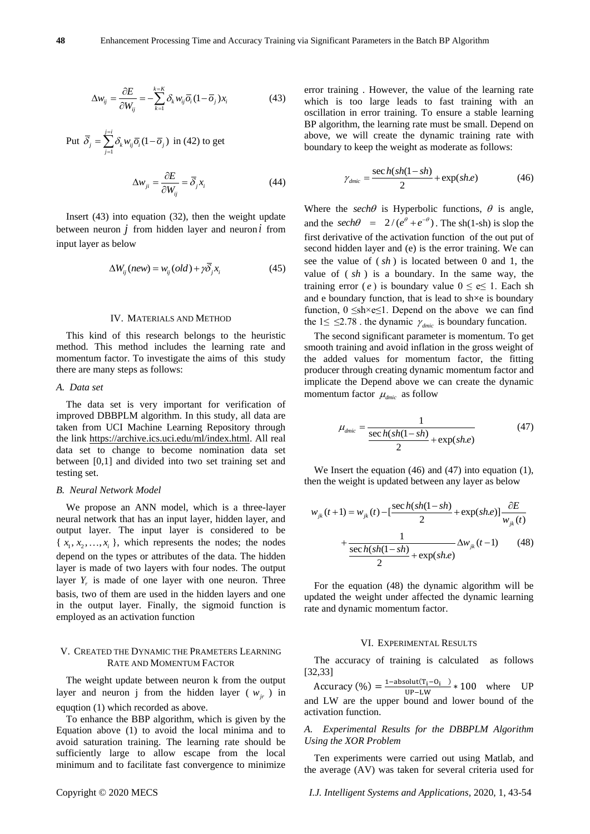$$
\Delta w_{ij} = \frac{\partial E}{\partial W_{ij}} = -\sum_{k=1}^{k=K} \delta_k w_{ij} \overline{o}_i (1 - \overline{o}_j) x_i
$$
 (43)

Put 
$$
\overline{\delta}_j = \sum_{j=1}^{j=i} \delta_k w_{ij} \overline{o}_i (1 - \overline{o}_j)
$$
 in (42) to get  

$$
\Delta w_{ji} = \frac{\partial E}{\partial W_{ij}} = \overline{\delta}_j x_i
$$
(44)

Insert (43) into equation (32), then the weight update between neuron *j* from hidden layer and neuron *i* from input layer as below

$$
\Delta W_{ij}(new) = w_{ij}(old) + \gamma \overline{\delta}_j x_i
$$
 (45)

#### IV. MATERIALS AND METHOD

This kind of this research belongs to the heuristic method. This method includes the learning rate and momentum factor. To investigate the aims of this study there are many steps as follows:

#### *A. Data set*

The data set is very important for verification of improved DBBPLM algorithm. In this study, all data are taken from UCI Machine Learning Repository through the link [https://archive.ics.uci.edu/ml/index.html.](https://archive.ics.uci.edu/ml/index.html) All real data set to change to become nomination data set between [0,1] and divided into two set training set and testing set.

#### *B. Neural Network Model*

We propose an ANN model, which is a three-layer neural network that has an input layer, hidden layer, and output layer. The input layer is considered to be  $\{x_1, x_2, \ldots, x_i\}$ , which represents the nodes; the nodes depend on the types or attributes of the data. The hidden layer is made of two layers with four nodes. The output layer  $Y_r$  is made of one layer with one neuron. Three basis, two of them are used in the hidden layers and one in the output layer. Finally, the sigmoid function is employed as an activation function

#### V. CREATED THE DYNAMIC THE PRAMETERS LEARNING RATE AND MOMENTUM FACTOR

The weight update between neuron k from the output layer and neuron j from the hidden layer ( $w_{ir}$ ) in equqtion (1) which recorded as above.

To enhance the BBP algorithm, which is given by the Equation above (1) to avoid the local minima and to avoid saturation training. The learning rate should be sufficiently large to allow escape from the local minimum and to facilitate fast convergence to minimize

error training . However, the value of the learning rate which is too large leads to fast training with an oscillation in error training. To ensure a stable learning BP algorithm, the learning rate must be small. Depend on above, we will create the dynamic training rate with boundary to keep the weight as moderate as follows:

$$
\gamma_{\text{dmic}} = \frac{\sec h(sh(1 - sh)}{2} + \exp(sh.e) \tag{46}
$$

Where the *sech* $\theta$  is Hyperbolic functions,  $\theta$  is angle, and the *sech* $\theta = 2/(e^{\theta} + e^{-\theta})$ . The sh(1-sh) is slop the first derivative of the activation function of the out put of second hidden layer and (e) is the error training. We can see the value of ( *sh* ) is located between 0 and 1, the value of ( *sh* ) is a boundary. In the same way, the training error (*e*) is boundary value  $0 \le e \le 1$ . Each sh and e boundary function, that is lead to sh $\times$ e is boundary function,  $0 \leq sh \times e \leq 1$ . Depend on the above we can find the  $1 \leq \leq 2.78$ . the dynamic  $\gamma_{\text{dmic}}$  is boundary funcation.

The second significant parameter is momentum. To get smooth training and avoid inflation in the gross weight of the added values for momentum factor, the fitting producer through creating dynamic momentum factor and implicate the Depend above we can create the dynamic momentum factor  $\mu_{\text{dmic}}$  as follow

$$
\mu_{dmic} = \frac{1}{\frac{\sec h(sh(1 - sh)}{2} + \exp(sh.e)}\tag{47}
$$

We Insert the equation (46) and (47) into equation (1), then the weight is updated between any layer as below

$$
w_{jk}(t+1) = w_{jk}(t) - \left[\frac{\sec h(sh(1-sh)}{2} + \exp(sh.e)\right] \frac{\partial E}{w_{jk}(t)}
$$

$$
+ \frac{1}{\frac{\sec h(sh(1-sh)}{2} + \exp(sh.e)} \Delta w_{jk}(t-1) \tag{48}
$$

For the equation (48) the dynamic algorithm will be updated the weight under affected the dynamic learning rate and dynamic momentum factor.

#### VI. EXPERIMENTAL RESULTS

The accuracy of training is calculated as follows [32,33]

 $Accuracy (\%) = \frac{1-\text{absolute}(T_i - O_i)}{MP_{i-M}}$  $\frac{U(t_1 - U_1)}{U}$  + 100 where UP and LW are the upper bound and lower bound of the activation function.

#### *A. Experimental Results for the DBBPLM Algorithm Using the XOR Problem*

Ten experiments were carried out using Matlab, and the average (AV) was taken for several criteria used for

Copyright © 2020 MECS *I.J. Intelligent Systems and Applications,* 2020, 1, 43-54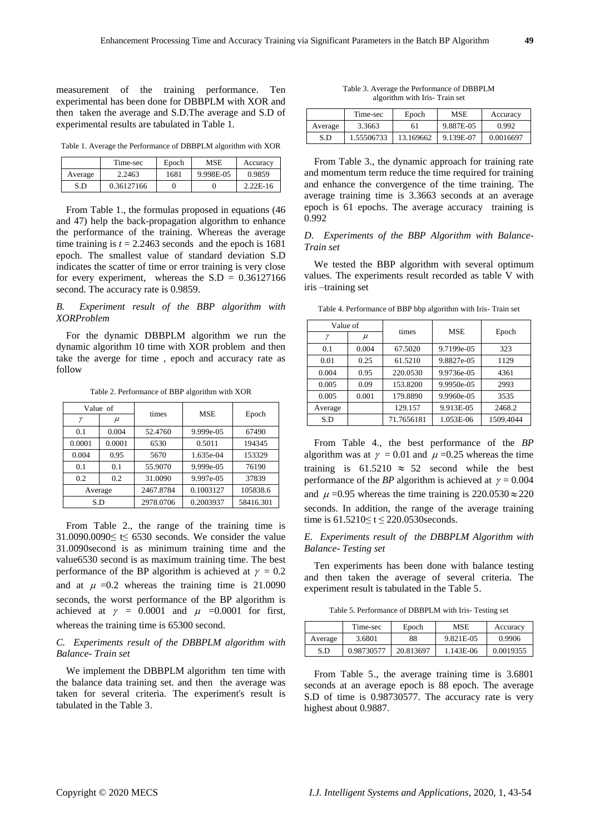measurement of the training performance. Ten experimental has been done for DBBPLM with XOR and then taken the average and S.D.The average and S.D of experimental results are tabulated in Table 1.

Table 1. Average the Performance of DBBPLM algorithm with XOR

|         | Time-sec   | Epoch | <b>MSE</b> | Accuracy   |
|---------|------------|-------|------------|------------|
| Average | 2.2463     | 1681  | 9.998E-05  | 0.9859     |
| S.D     | 0.36127166 |       |            | $2.22E-16$ |

From Table 1., the formulas proposed in equations (46 and 47) help the back-propagation algorithm to enhance the performance of the training. Whereas the average time training is  $t = 2.2463$  seconds and the epoch is 1681 epoch. The smallest value of standard deviation S.D indicates the scatter of time or error training is very close for every experiment, whereas the  $S.D = 0.36127166$ second. The accuracy rate is 0.9859.

# *B. Experiment result of the BBP algorithm with XORProblem*

For the dynamic DBBPLM algorithm we run the dynamic algorithm 10 time with XOR problem and then take the averge for time , epoch and accuracy rate as follow

Table 2. Performance of BBP algorithm with XOR

| Value of     |        | times     | <b>MSE</b> |           |  |
|--------------|--------|-----------|------------|-----------|--|
| $\mathcal V$ | $\mu$  |           |            | Epoch     |  |
| 0.1          | 0.004  | 52.4760   | 9.999e-05  | 67490     |  |
| 0.0001       | 0.0001 | 6530      | 0.5011     | 194345    |  |
| 0.004        | 0.95   | 5670      | 1.635e-04  | 153329    |  |
| 0.1          | 0.1    | 55.9070   | 9.999e-05  | 76190     |  |
| 0.2          | 0.2    | 31.0090   | 9.997e-05  | 37839     |  |
| Average      |        | 2467.8784 | 0.1003127  | 105838.6  |  |
| S.D          |        | 2978.0706 | 0.2003937  | 58416.301 |  |

From Table 2., the range of the training time is 31.0090.0090≤ t≤ 6530 seconds. We consider the value 31.0090second is as minimum training time and the value6530 second is as maximum training time. The best performance of the BP algorithm is achieved at  $\gamma = 0.2$ and at  $\mu = 0.2$  whereas the training time is 21.0090 seconds, the worst performance of the BP algorithm is achieved at  $\gamma = 0.0001$  and  $\mu = 0.0001$  for first, whereas the training time is 65300 second.

# *C. Experiments result of the DBBPLM algorithm with Balance- Train set*

We implement the DBBPLM algorithm ten time with the balance data training set. and then the average was taken for several criteria. The experiment's result is tabulated in the Table 3.

Table 3. Average the Performance of DBBPLM algorithm with Iris- Train set

|         | Time-sec   | Epoch     | MSE       | Accuracy  |
|---------|------------|-----------|-----------|-----------|
| Average | 3.3663     | 61        | 9.887E-05 | 0.992     |
| S.D     | 1.55506733 | 13.169662 | 9.139E-07 | 0.0016697 |

From Table 3., the dynamic approach for training rate and momentum term reduce the time required for training and enhance the convergence of the time training. The average training time is 3.3663 seconds at an average epoch is 61 epochs. The average accuracy training is 0.992

#### *D. Experiments of the BBP Algorithm with Balance-Train set*

We tested the BBP algorithm with several optimum values. The experiments result recorded as table V with iris –training set

Table 4. Performance of BBP bbp algorithm with Iris- Train set

| Value of     |       | times      | <b>MSE</b> |           |  |
|--------------|-------|------------|------------|-----------|--|
| $\mathcal V$ | $\mu$ |            |            | Epoch     |  |
| 0.1          | 0.004 | 67.5020    | 9.7199e-05 | 323       |  |
| 0.01         | 0.25  | 61.5210    | 9.8827e-05 | 1129      |  |
| 0.004        | 0.95  | 220.0530   | 9.9736e-05 | 4361      |  |
| 0.005        | 0.09  | 153.8200   | 9.9950e-05 | 2993      |  |
| 0.005        | 0.001 | 179.8890   | 9.9960e-05 | 3535      |  |
| Average      |       | 129.157    | 9.913E-05  | 2468.2    |  |
| S.D          |       | 71.7656181 | 1.053E-06  | 1509.4044 |  |

From Table 4., the best performance of the *BP*  algorithm was at  $\gamma = 0.01$  and  $\mu = 0.25$  whereas the time training is  $61.5210 \approx 52$  second while the best performance of the *BP* algorithm is achieved at  $\gamma = 0.004$ and  $\mu = 0.95$  whereas the time training is  $220.0530 \approx 220$ seconds. In addition, the range of the average training time is 61.5210≤ t ≤ 220.0530seconds.

# *E. Experiments result of the DBBPLM Algorithm with Balance- Testing set*

Ten experiments has been done with balance testing and then taken the average of several criteria. The experiment result is tabulated in the Table 5.

Table 5. Performance of DBBPLM with Iris- Testing set

|         | Time-sec   | Epoch     | <b>MSE</b> | Accuracy  |
|---------|------------|-----------|------------|-----------|
| Average | 3.6801     | 88        | 9.821E-05  | 0.9906    |
| S.D     | 0.98730577 | 20.813697 | 1.143E-06  | 0.0019355 |

From Table 5., the average training time is 3.6801 seconds at an average epoch is 88 epoch. The average S.D of time is 0.98730577. The accuracy rate is very highest about 0.9887.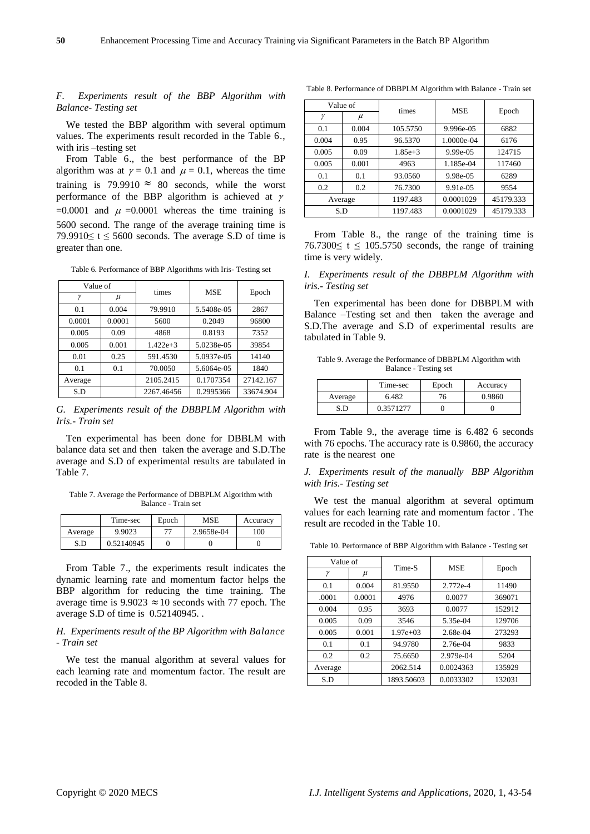# *F. Experiments result of the BBP Algorithm with Balance- Testing set*

We tested the BBP algorithm with several optimum values. The experiments result recorded in the Table 6., with iris –testing set

From Table 6., the best performance of the BP algorithm was at  $\gamma = 0.1$  and  $\mu = 0.1$ , whereas the time training is 79.9910  $\approx$  80 seconds, while the worst performance of the BBP algorithm is achieved at  $\gamma$  $=0.0001$  and  $\mu = 0.0001$  whereas the time training is 5600 second. The range of the average training time is 79.9910 $\leq$  t  $\leq$  5600 seconds. The average S.D of time is greater than one.

Table 6. Performance of BBP Algorithms with Iris- Testing set

| Value of |        | times      | <b>MSE</b> |           |  |
|----------|--------|------------|------------|-----------|--|
| ν        | $\mu$  |            |            | Epoch     |  |
| 0.1      | 0.004  | 79.9910    | 5.5408e-05 | 2867      |  |
| 0.0001   | 0.0001 | 5600       | 0.2049     | 96800     |  |
| 0.005    | 0.09   | 4868       | 0.8193     | 7352      |  |
| 0.005    | 0.001  | $1422e+3$  | 5.0238e-05 | 39854     |  |
| 0.01     | 0.25   | 591.4530   | 5.0937e-05 | 14140     |  |
| 0.1      | 0.1    | 70.0050    | 5.6064e-05 | 1840      |  |
| Average  |        | 2105.2415  | 0.1707354  | 27142.167 |  |
| S.D      |        | 2267.46456 | 0.2995366  | 33674.904 |  |

*G. Experiments result of the DBBPLM Algorithm with Iris.- Train set*

Ten experimental has been done for DBBLM with balance data set and then taken the average and S.D.The average and S.D of experimental results are tabulated in Table 7.

Table 7. Average the Performance of DBBPLM Algorithm with Balance - Train set

|         | Time-sec   | Epoch | MSE        | Accuracy |
|---------|------------|-------|------------|----------|
| Average | 9.9023     | רת    | 2.9658e-04 | 100      |
| S.D     | 0.52140945 |       |            |          |

From Table 7., the experiments result indicates the dynamic learning rate and momentum factor helps the BBP algorithm for reducing the time training. The average time is  $9.9023 \approx 10$  seconds with 77 epoch. The average S.D of time is 0.52140945. .

# *H. Experiments result of the BP Algorithm with Balance - Train set*

We test the manual algorithm at several values for each learning rate and momentum factor. The result are recoded in the Table 8.

Table 8. Performance of DBBPLM Algorithm with Balance - Train set

| Value of |       | times     | <b>MSE</b>  |           |  |
|----------|-------|-----------|-------------|-----------|--|
| γ        | $\mu$ |           |             | Epoch     |  |
| 0.1      | 0.004 | 105.5750  | 9.996e-05   | 6882      |  |
| 0.004    | 0.95  | 96.5370   | 1.0000e-04  | 6176      |  |
| 0.005    | 0.09  | $1.85e+3$ | 9.99e-05    | 124715    |  |
| 0.005    | 0.001 | 4963      | 1.185e-04   | 117460    |  |
| 0.1      | 0.1   | 93.0560   | 9.98e-05    | 6289      |  |
| 0.2      | 0.2   | 76.7300   | $9.91e-0.5$ | 9554      |  |
| Average  |       | 1197.483  | 0.0001029   | 45179.333 |  |
| S.D      |       | 1197.483  | 0.0001029   | 45179.333 |  |

From Table 8., the range of the training time is 76.7300 $\le t \le 105.5750$  seconds, the range of training time is very widely.

# *I. Experiments result of the DBBPLM Algorithm with iris.- Testing set*

Ten experimental has been done for DBBPLM with Balance –Testing set and then taken the average and S.D.The average and S.D of experimental results are tabulated in Table 9.

Table 9. Average the Performance of DBBPLM Algorithm with Balance - Testing set

|         | Time-sec  | Epoch | Accuracy |
|---------|-----------|-------|----------|
| Average | 6.482     | 76.   | 0.9860   |
| S.D     | 0.3571277 |       |          |

From Table 9., the average time is 6.482 6 seconds with 76 epochs. The accuracy rate is 0.9860, the accuracy rate is the nearest one

#### *J. Experiments result of the manually BBP Algorithm with Iris.- Testing set*

We test the manual algorithm at several optimum values for each learning rate and momentum factor . The result are recoded in the Table 10.

Table 10. Performance of BBP Algorithm with Balance - Testing set

| Value of |        | Time-S     | <b>MSE</b> |        |  |
|----------|--------|------------|------------|--------|--|
| γ        | $\mu$  |            |            | Epoch  |  |
| 0.1      | 0.004  | 81.9550    | 2.772e-4   | 11490  |  |
| .0001    | 0.0001 | 4976       | 0.0077     | 369071 |  |
| 0.004    | 0.95   | 3693       | 0.0077     | 152912 |  |
| 0.005    | 0.09   | 3546       | 5.35e-04   | 129706 |  |
| 0.005    | 0.001  | $1.97e+03$ | 2.68e-04   | 273293 |  |
| 0.1      | 0.1    | 94.9780    | 2.76e-04   | 9833   |  |
| 0.2      | 0.2    | 75.6650    | 2.979e-04  | 5204   |  |
| Average  |        | 2062.514   | 0.0024363  | 135929 |  |
| S.D      |        | 1893.50603 | 0.0033302  | 132031 |  |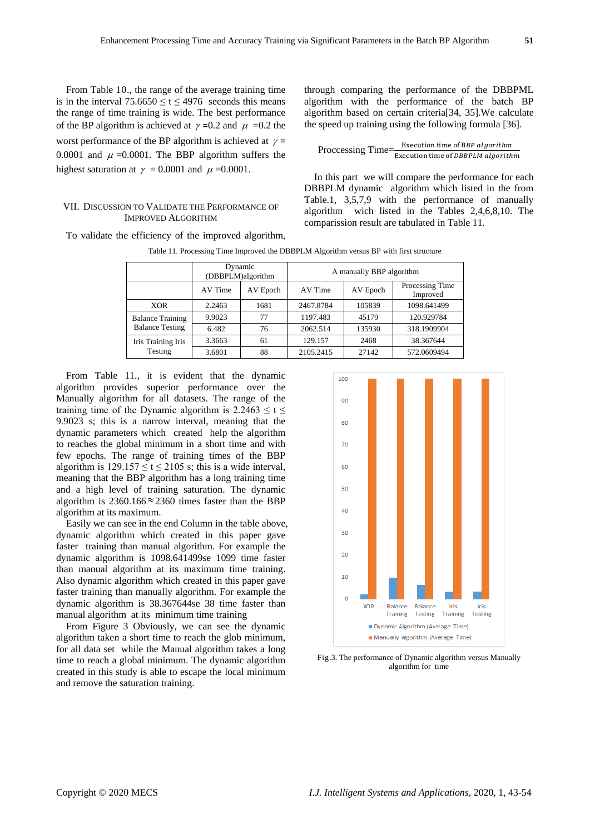From Table 10., the range of the average training time is in the interval  $75.6650 \le t \le 4976$  seconds this means the range of time training is wide. The best performance of the BP algorithm is achieved at  $\gamma$  =0.2 and  $\mu$  =0.2 the worst performance of the BP algorithm is achieved at  $\gamma$  = 0.0001 and  $\mu$  =0.0001. The BBP algorithm suffers the highest saturation at  $\gamma = 0.0001$  and  $\mu = 0.0001$ .

#### VII. DISCUSSION TO VALIDATE THE PERFORMANCE OF IMPROVED ALGORITHM

To validate the efficiency of the improved algorithm,

through comparing the performance of the DBBPML algorithm with the performance of the batch BP algorithm based on certain criteria[34, 35].We calculate the speed up training using the following formula [36].

Proccessing Time= $\frac{Execution time of BBP algorithm}{Execution time of DBBPLM algorithm}$ 

In this part we will compare the performance for each DBBPLM dynamic algorithm which listed in the from Table.1, 3,5,7,9 with the performance of manually algorithm wich listed in the Tables 2,4,6,8,10. The comparission result are tabulated in Table 11.

|                         | Dynamic<br>(DBBPLM)algorithm |          | A manually BBP algorithm |          |                             |
|-------------------------|------------------------------|----------|--------------------------|----------|-----------------------------|
|                         | AV Time                      | AV Epoch | AV Time                  | AV Epoch | Processing Time<br>Improved |
| <b>XOR</b>              | 2.2463                       | 1681     | 2467.8784                | 105839   | 1098.641499                 |
| <b>Balance Training</b> | 9.9023                       | 77       | 1197.483                 | 45179    | 120.929784                  |
| <b>Balance Testing</b>  | 6.482                        | 76       | 2062.514                 | 135930   | 318.1909904                 |
| Iris Training Iris      | 3.3663                       | 61       | 129.157                  | 2468     | 38.367644                   |
| Testing                 | 3.6801                       | 88       | 2105.2415                | 27142    | 572.0609494                 |

Table 11. Processing Time Improved the DBBPLM Algorithm versus BP with first structure

From Table 11., it is evident that the dynamic algorithm provides superior performance over the Manually algorithm for all datasets. The range of the training time of the Dynamic algorithm is  $2.2463 \le t \le$ 9.9023 s; this is a narrow interval, meaning that the dynamic parameters which created help the algorithm to reaches the global minimum in a short time and with few epochs. The range of training times of the BBP algorithm is  $129.157 \le t \le 2105$  s; this is a wide interval, meaning that the BBP algorithm has a long training time and a high level of training saturation. The dynamic algorithm is  $2360.166 \approx 2360$  times faster than the BBP algorithm at its maximum.

Easily we can see in the end Column in the table above, dynamic algorithm which created in this paper gave faster training than manual algorithm. For example the dynamic algorithm is 1098.641499se 1099 time faster than manual algorithm at its maximum time training. Also dynamic algorithm which created in this paper gave faster training than manually algorithm. For example the dynamic algorithm is 38.367644se 38 time faster than manual algorithm at its minimum time training

From Figure 3 Obviously, we can see the dynamic algorithm taken a short time to reach the glob minimum, for all data set while the Manual algorithm takes a long time to reach a global minimum. The dynamic algorithm created in this study is able to escape the local minimum and remove the saturation training.



Fig.3. The performance of Dynamic algorithm versus Manually algorithm for time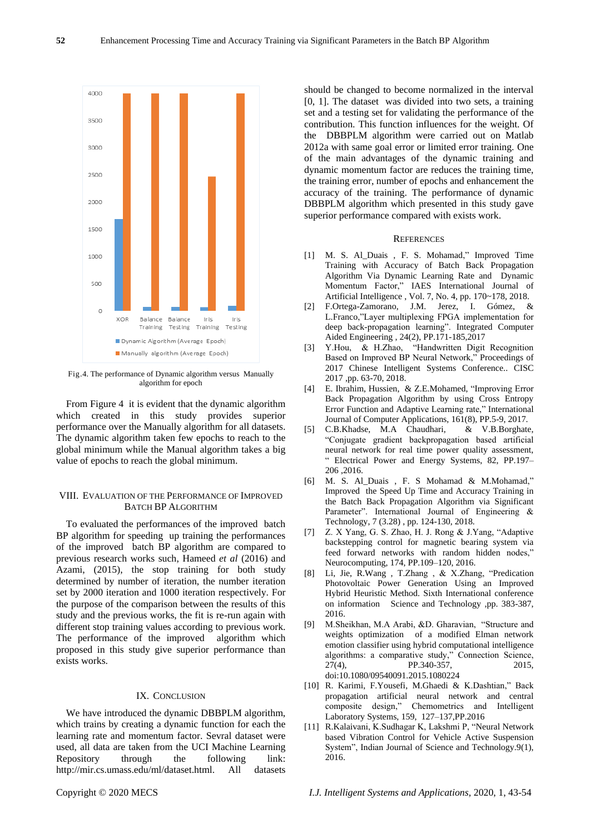

Fig.4. The performance of Dynamic algorithm versus Manually algorithm for epoch

From Figure 4 it is evident that the dynamic algorithm which created in this study provides superior performance over the Manually algorithm for all datasets. The dynamic algorithm taken few epochs to reach to the global minimum while the Manual algorithm takes a big value of epochs to reach the global minimum.

# VIII. EVALUATION OF THE PERFORMANCE OF IMPROVED BATCH BP ALGORITHM

To evaluated the performances of the improved batch BP algorithm for speeding up training the performances of the improved batch BP algorithm are compared to previous research works such, Hameed *et al* (2016) and Azami, (2015), the stop training for both study determined by number of iteration, the number iteration set by 2000 iteration and 1000 iteration respectively. For the purpose of the comparison between the results of this study and the previous works, the fit is re-run again with different stop training values according to previous work. The performance of the improved algorithm which proposed in this study give superior performance than exists works.

#### IX. CONCLUSION

We have introduced the dynamic DBBPLM algorithm, which trains by creating a dynamic function for each the learning rate and momentum factor. Sevral dataset were used, all data are taken from the UCI Machine Learning Repository through the following link: [http://mir.cs.umass.edu/ml/dataset.html.](http://mir.cs.umass.edu/ml/dataset.html) All datasets

should be changed to become normalized in the interval [0, 1]. The dataset was divided into two sets, a training set and a testing set for validating the performance of the contribution. This function influences for the weight. Of the DBBPLM algorithm were carried out on Matlab 2012a with same goal error or limited error training. One of the main advantages of the dynamic training and dynamic momentum factor are reduces the training time, the training error, number of epochs and enhancement the accuracy of the training. The performance of dynamic DBBPLM algorithm which presented in this study gave superior performance compared with exists work.

#### **REFERENCES**

- [1] M. S. Al\_Duais , F. S. Mohamad," Improved Time Training with Accuracy of Batch Back Propagation Algorithm Via Dynamic Learning Rate and Dynamic Momentum Factor," IAES International Journal of Artificial Intelligence , Vol. 7, No. 4, pp. 170~178, 2018.
- [2] F.Ortega-Zamorano, J.M. Jerez, I. Gómez, & L.Franco,"Layer multiplexing FPGA implementation for deep back-propagation learning". Integrated Computer Aided Engineering , 24(2), PP.171-185,2017
- [3] Y.Hou, & H.Zhao, "Handwritten Digit Recognition Based on Improved BP Neural Network," Proceedings of 2017 Chinese Intelligent Systems Conference.. CISC 2017 ,pp. 63-70, 2018.
- [4] E. Ibrahim, Hussien, & Z.E.Mohamed, "Improving Error Back Propagation Algorithm by using Cross Entropy Error Function and Adaptive Learning rate," International Journal of Computer Applications, 161(8), PP.5-9, 2017.
- [5] C.B.Khadse, M.A Chaudhari, & V.B.Borghate, "Conjugate gradient backpropagation based artificial neural network for real time power quality assessment, " Electrical Power and Energy Systems, 82, PP.197– 206 ,2016.
- [6] M. S. Al\_Duais , F. S Mohamad & M.Mohamad," Improved the Speed Up Time and Accuracy Training in the Batch Back Propagation Algorithm via Significant Parameter". International Journal of Engineering & Technology, 7 (3.28) , pp. 124-130, 2018.
- [7] Z. X Yang, G. S. Zhao, H. J. Rong & J.Yang, "Adaptive backstepping control for magnetic bearing system via feed forward networks with random hidden nodes," Neurocomputing, 174, PP.109–120, 2016.
- [8] Li, Jie, R.Wang , T.Zhang , & X.Zhang, "Predication Photovoltaic Power Generation Using an Improved Hybrid Heuristic Method. Sixth International conference on information Science and Technology ,pp. 383-387, 2016.
- [9] M.Sheikhan, M.A Arabi, &D. Gharavian, "Structure and weights optimization of a modified Elman network emotion classifier using hybrid computational intelligence algorithms: a comparative study," Connection Science, 27(4), PP.340-357, 2015, doi:10.1080/09540091.2015.1080224
- [10] R. Karimi, F.Yousefi, M.Ghaedi & K.Dashtian," Back propagation artificial neural network and central composite design," Chemometrics and Intelligent Laboratory Systems, 159, 127–137,PP.2016
- [11] R.Kalaivani, K.Sudhagar K, Lakshmi P, "Neural Network based Vibration Control for Vehicle Active Suspension System", Indian Journal of Science and Technology.9(1), 2016.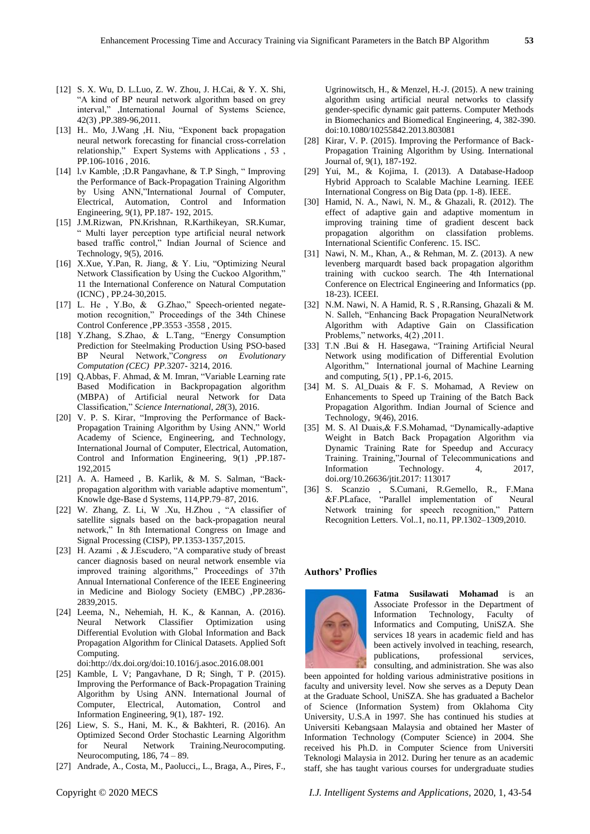- [12] S. X. Wu, D. L.Luo, Z. W. Zhou, J. H.Cai, & Y. X. Shi, "A kind of BP neural network algorithm based on grey interval," ,International Journal of Systems Science, 42(3) ,PP.389-96,2011.
- [13] H.. Mo, J.Wang ,H. Niu, "Exponent back propagation neural network forecasting for financial cross-correlation relationship," Expert Systems with Applications , 53 , PP.106-1016 , 2016.
- [14] l.v Kamble, ;D.R Pangavhane, & T.P Singh, " Improving the Performance of Back-Propagation Training Algorithm by Using ANN,"International Journal of Computer, Electrical, Automation, Control and Information Engineering, 9(1), PP.187- 192, 2015.
- [15] J.M.Rizwan, PN.Krishnan, R.Karthikeyan, SR.Kumar, " Multi layer perception type artificial neural network based traffic control," Indian Journal of Science and Technology, 9(5), 2016.
- [16] X.Xue, Y.Pan, R. Jiang, & Y. Liu, "Optimizing Neural Network Classification by Using the Cuckoo Algorithm," 11 the International Conference on Natural Computation (ICNC) , PP.24-30,2015.
- [17] L. He , Y.Bo, & G.Zhao," Speech-oriented negatemotion recognition," Proceedings of the 34th Chinese Control Conference ,PP.3553 -3558 , 2015.
- [18] Y.Zhang, S.Zhao, & L.Tang, "Energy Consumption Prediction for Steelmaking Production Using PSO-based BP Neural Network,"*Congress on Evolutionary Computation (CEC) PP.*3207- 3214, 2016.
- [19] Q.Abbas, F. Ahmad, & M. Imran, "Variable Learning rate Based Modification in Backpropagation algorithm (MBPA) of Artificial neural Network for Data Classification," *Science International*, *28*(3), 2016.
- [20] V. P. S. Kirar, "Improving the Performance of Back-Propagation Training Algorithm by Using ANN," World Academy of Science, Engineering, and Technology, International Journal of Computer, Electrical, Automation, Control and Information Engineering, 9(1) ,PP.187- 192,2015
- [21] A. A. Hameed , B. Karlik, & M. S. Salman, "Backpropagation algorithm with variable adaptive momentum", Knowle dge-Base d Systems, 114,PP.79–87, 2016.
- [22] W. Zhang, Z. Li, W .Xu, H.Zhou , "A classifier of satellite signals based on the back-propagation neural network," In 8th International Congress on Image and Signal Processing (CISP), PP.1353-1357,2015.
- [23] H. Azami , & J.Escudero, "A comparative study of breast cancer diagnosis based on neural network ensemble via improved training algorithms," Proceedings of 37th Annual International Conference of the IEEE Engineering in Medicine and Biology Society (EMBC) ,PP.2836- 2839,2015.
- [24] Leema, N., Nehemiah, H. K., & Kannan, A. (2016). Neural Network Classifier Optimization using Differential Evolution with Global Information and Back Propagation Algorithm for Clinical Datasets. Applied Soft Computing.
- doi:http://dx.doi.org/doi:10.1016/j.asoc.2016.08.001
- [25] Kamble, L V; Pangavhane, D R; Singh, T P. (2015). Improving the Performance of Back-Propagation Training Algorithm by Using ANN. International Journal of Computer, Electrical, Automation, Control and Information Engineering, 9(1), 187- 192.
- [26] Liew, S. S., Hani, M. K., & Bakhteri, R. (2016). An Optimized Second Order Stochastic Learning Algorithm for Neural Network Training.Neurocomputing. Neurocomputing, 186, 74 – 89.
- [27] Andrade, A., Costa, M., Paolucci,, L., Braga, A., Pires, F.,

Ugrinowitsch, H., & Menzel, H.-J. (2015). A new training algorithm using artificial neural networks to classify gender-specific dynamic gait patterns. Computer Methods in Biomechanics and Biomedical Engineering, 4, 382-390. doi:10.1080/10255842.2013.803081

- [28] Kirar, V. P. (2015). Improving the Performance of Back-Propagation Training Algorithm by Using. International Journal of, 9(1), 187-192.
- [29] Yui, M., & Kojima, I. (2013). A Database-Hadoop Hybrid Approach to Scalable Machine Learning. IEEE International Congress on Big Data (pp. 1-8). IEEE.
- [30] Hamid, N. A., Nawi, N. M., & Ghazali, R. (2012). The effect of adaptive gain and adaptive momentum in improving training time of gradient descent back propagation algorithm on classifation problems. International Scientific Conferenc. 15. ISC.
- [31] Nawi, N. M., Khan, A., & Rehman, M. Z. (2013). A new levenberg marquardt based back propagation algorithm training with cuckoo search. The 4th International Conference on Electrical Engineering and Informatics (pp. 18-23). ICEEI.
- [32] N.M. Nawi, N. A Hamid, R. S , R.Ransing, Ghazali & M. N. Salleh, "Enhancing Back Propagation NeuralNetwork Algorithm with Adaptive Gain on Classification Problems," networks, 4(2) ,2011.
- [33] T.N .Bui & H. Hasegawa, "Training Artificial Neural Network using modification of Differential Evolution Algorithm," International journal of Machine Learning and computing, *5*(1) , PP.1-6, 2015.
- [34] M. S. Al\_Duais & F. S. Mohamad, A Review on Enhancements to Speed up Training of the Batch Back Propagation Algorithm. Indian Journal of Science and Technology, 9(46), 2016.
- [35] M. S. Al Duais,& F.S.Mohamad, "Dynamically-adaptive Weight in Batch Back Propagation Algorithm via Dynamic Training Rate for Speedup and Accuracy Training. Training,"Journal of Telecommunications and Information Technology. 4, 2017, doi.org/10.26636/jtit.2017: 113017
- [36] S. Scanzio , S.Cumani, R.Gemello, R., F.Mana &F.PLaface, "Parallel implementation of Neural Network training for speech recognition," Pattern Recognition Letters. Vol..1, no.11, PP.1302–1309,2010.

#### **Authors' Proflies**



**Fatma Susilawati Mohamad** is an Associate Professor in the Department of Information Technology, Faculty of Informatics and Computing, UniSZA. She services 18 years in academic field and has been actively involved in teaching, research, publications, professional services, consulting, and administration. She was also

been appointed for holding various administrative positions in faculty and university level. Now she serves as a Deputy Dean at the Graduate School, UniSZA. She has graduated a Bachelor of Science (Information System) from Oklahoma City University, U.S.A in 1997. She has continued his studies at Universiti Kebangsaan Malaysia and obtained her Master of Information Technology (Computer Science) in 2004. She received his Ph.D. in Computer Science from Universiti Teknologi Malaysia in 2012. During her tenure as an academic staff, she has taught various courses for undergraduate studies